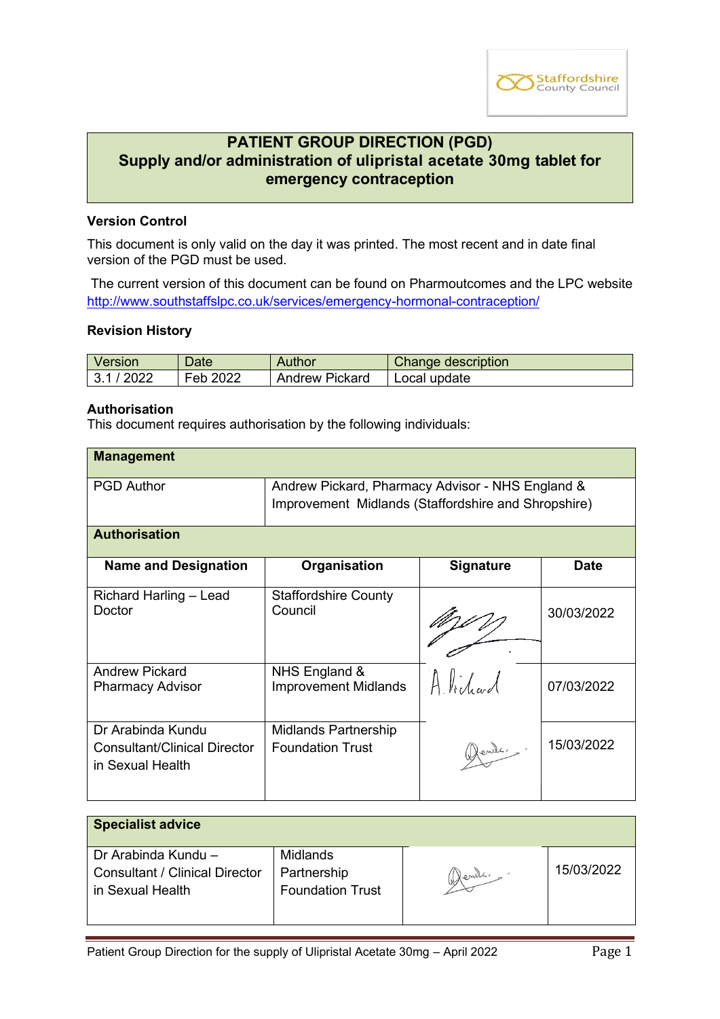

# **PATIENT GROUP DIRECTION (PGD) Supply and/or administration of ulipristal acetate 30mg tablet for emergency contraception**

### **Version Control**

This document is only valid on the day it was printed. The most recent and in date final version of the PGD must be used.

The current version of this document can be found on Pharmoutcomes and the LPC website <http://www.southstaffslpc.co.uk/services/emergency-hormonal-contraception/>

#### **Revision History**

| Version  | Date     | <b>Author</b>  | Change description |
|----------|----------|----------------|--------------------|
| 3.1/2022 | Feb 2022 | Andrew Pickard | I Local update     |

### **Authorisation**

This document requires authorisation by the following individuals:

| <b>Management</b>                                                            |                                                                                                         |                  |             |
|------------------------------------------------------------------------------|---------------------------------------------------------------------------------------------------------|------------------|-------------|
| <b>PGD Author</b>                                                            | Andrew Pickard, Pharmacy Advisor - NHS England &<br>Improvement Midlands (Staffordshire and Shropshire) |                  |             |
| <b>Authorisation</b>                                                         |                                                                                                         |                  |             |
| <b>Name and Designation</b>                                                  | Organisation                                                                                            | <b>Signature</b> | <b>Date</b> |
| Richard Harling - Lead<br>Doctor                                             | <b>Staffordshire County</b><br>Council                                                                  |                  | 30/03/2022  |
| <b>Andrew Pickard</b><br><b>Pharmacy Advisor</b>                             | NHS England &<br><b>Improvement Midlands</b>                                                            | Alidrad          | 07/03/2022  |
| Dr Arabinda Kundu<br><b>Consultant/Clinical Director</b><br>in Sexual Health | <b>Midlands Partnership</b><br><b>Foundation Trust</b>                                                  | Glende,          | 15/03/2022  |

| <b>Specialist advice</b>              |                         |        |            |
|---------------------------------------|-------------------------|--------|------------|
| Dr Arabinda Kundu -                   | Midlands                |        |            |
| <b>Consultant / Clinical Director</b> | Partnership             | Wends. | 15/03/2022 |
| in Sexual Health                      | <b>Foundation Trust</b> |        |            |
|                                       |                         |        |            |
|                                       |                         |        |            |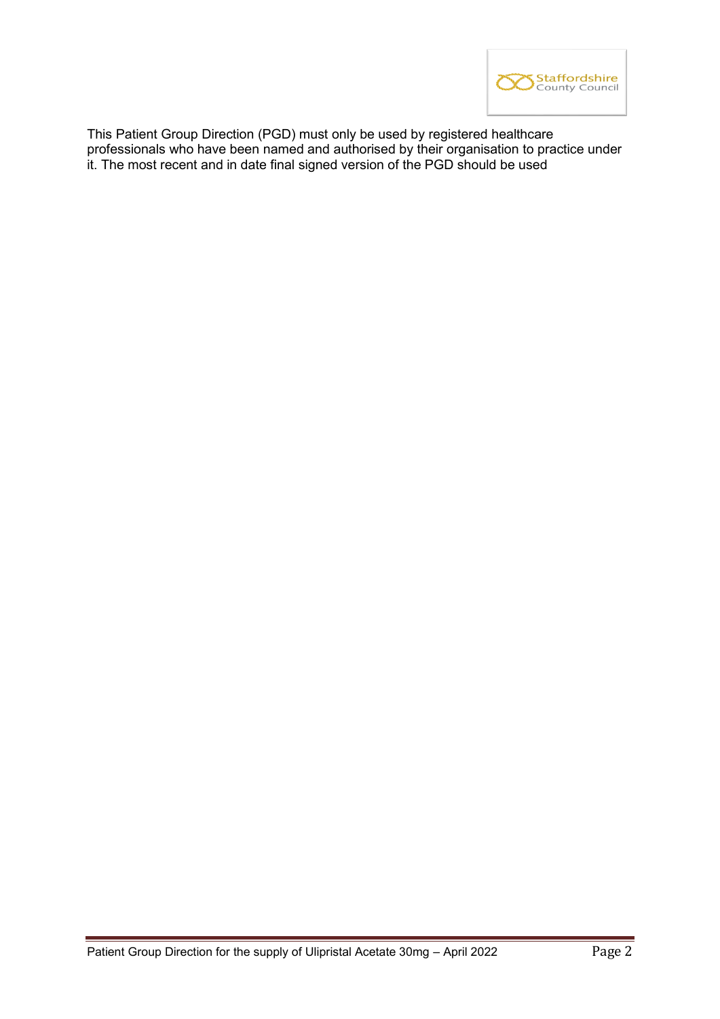

This Patient Group Direction (PGD) must only be used by registered healthcare professionals who have been named and authorised by their organisation to practice under it. The most recent and in date final signed version of the PGD should be used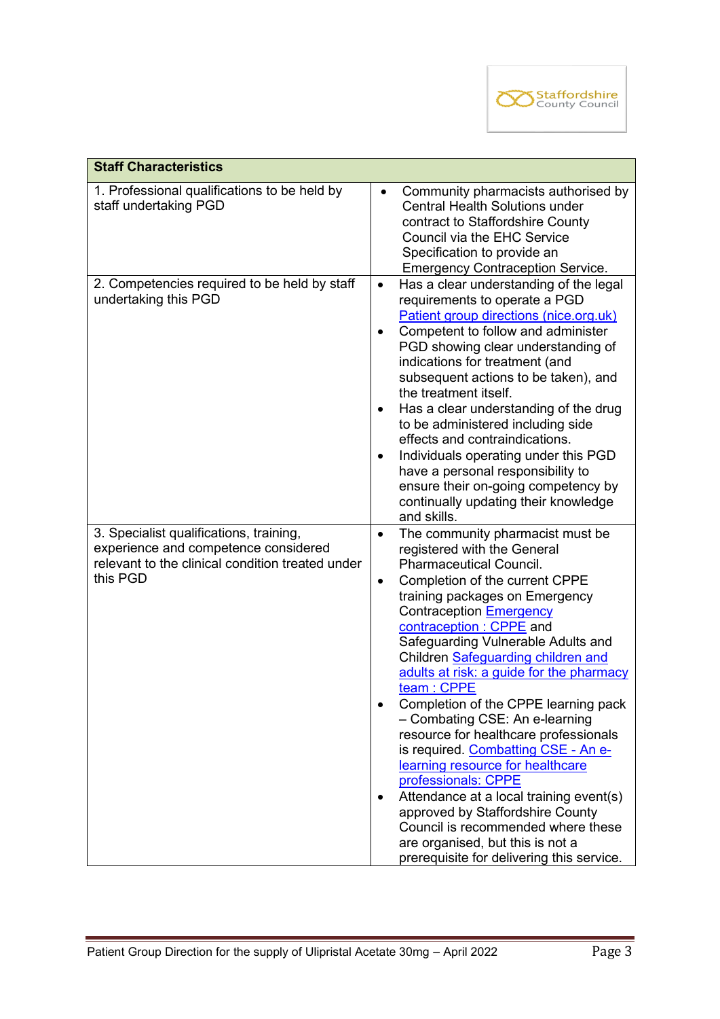

| <b>Staff Characteristics</b>                                                                                                                    |                                                                                                                                                                                                                                                                                                                                                                                                                                                                                                                                                                                                                                                                                                                                                                                                                              |  |  |
|-------------------------------------------------------------------------------------------------------------------------------------------------|------------------------------------------------------------------------------------------------------------------------------------------------------------------------------------------------------------------------------------------------------------------------------------------------------------------------------------------------------------------------------------------------------------------------------------------------------------------------------------------------------------------------------------------------------------------------------------------------------------------------------------------------------------------------------------------------------------------------------------------------------------------------------------------------------------------------------|--|--|
| 1. Professional qualifications to be held by<br>staff undertaking PGD                                                                           | Community pharmacists authorised by<br>$\bullet$<br><b>Central Health Solutions under</b><br>contract to Staffordshire County<br>Council via the EHC Service<br>Specification to provide an<br><b>Emergency Contraception Service.</b>                                                                                                                                                                                                                                                                                                                                                                                                                                                                                                                                                                                       |  |  |
| 2. Competencies required to be held by staff<br>undertaking this PGD                                                                            | Has a clear understanding of the legal<br>$\bullet$<br>requirements to operate a PGD<br>Patient group directions (nice.org.uk)<br>Competent to follow and administer<br>PGD showing clear understanding of<br>indications for treatment (and<br>subsequent actions to be taken), and<br>the treatment itself.<br>Has a clear understanding of the drug<br>$\bullet$<br>to be administered including side<br>effects and contraindications.<br>Individuals operating under this PGD<br>$\bullet$<br>have a personal responsibility to<br>ensure their on-going competency by<br>continually updating their knowledge<br>and skills.                                                                                                                                                                                           |  |  |
| 3. Specialist qualifications, training,<br>experience and competence considered<br>relevant to the clinical condition treated under<br>this PGD | The community pharmacist must be<br>$\bullet$<br>registered with the General<br><b>Pharmaceutical Council.</b><br>Completion of the current CPPE<br>$\bullet$<br>training packages on Emergency<br>Contraception Emergency<br>contraception : CPPE and<br>Safeguarding Vulnerable Adults and<br>Children Safeguarding children and<br>adults at risk: a guide for the pharmacy<br>team: CPPE<br>Completion of the CPPE learning pack<br>- Combating CSE: An e-learning<br>resource for healthcare professionals<br>is required. Combatting CSE - An e-<br>learning resource for healthcare<br>professionals: CPPE<br>Attendance at a local training event(s)<br>٠<br>approved by Staffordshire County<br>Council is recommended where these<br>are organised, but this is not a<br>prerequisite for delivering this service. |  |  |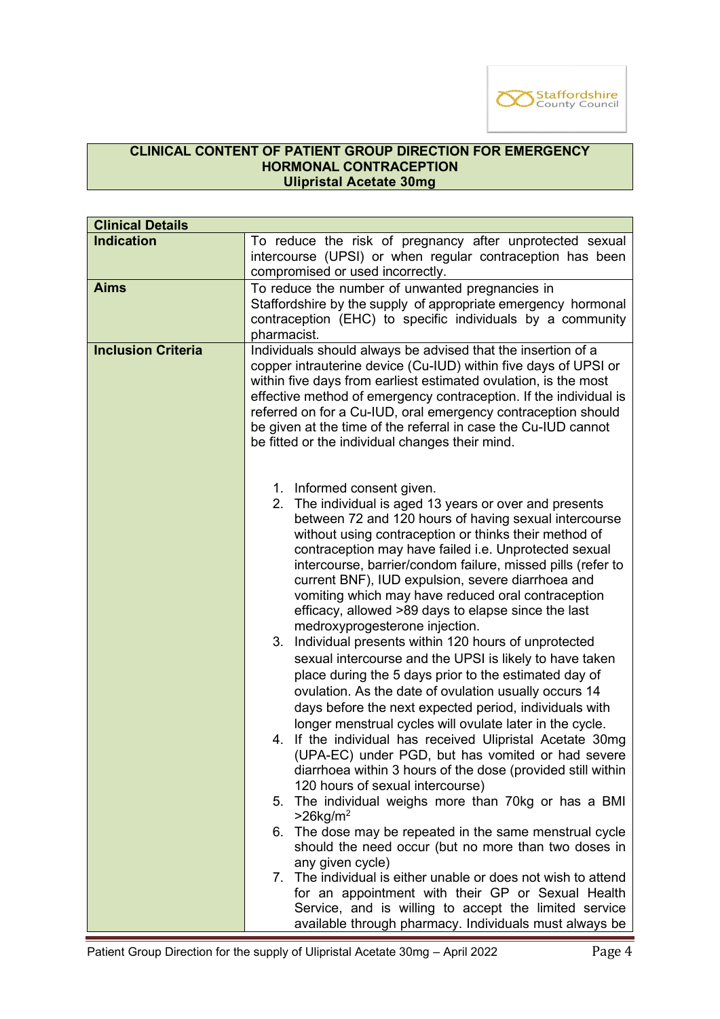

# **CLINICAL CONTENT OF PATIENT GROUP DIRECTION FOR EMERGENCY HORMONAL CONTRACEPTION Ulipristal Acetate 30mg**

| <b>Clinical Details</b>   |                                                                                                                             |  |
|---------------------------|-----------------------------------------------------------------------------------------------------------------------------|--|
| <b>Indication</b>         | To reduce the risk of pregnancy after unprotected sexual                                                                    |  |
|                           | intercourse (UPSI) or when regular contraception has been                                                                   |  |
|                           | compromised or used incorrectly.                                                                                            |  |
| <b>Aims</b>               | To reduce the number of unwanted pregnancies in                                                                             |  |
|                           | Staffordshire by the supply of appropriate emergency hormonal<br>contraception (EHC) to specific individuals by a community |  |
|                           | pharmacist.                                                                                                                 |  |
| <b>Inclusion Criteria</b> | Individuals should always be advised that the insertion of a                                                                |  |
|                           | copper intrauterine device (Cu-IUD) within five days of UPSI or                                                             |  |
|                           | within five days from earliest estimated ovulation, is the most                                                             |  |
|                           | effective method of emergency contraception. If the individual is                                                           |  |
|                           | referred on for a Cu-IUD, oral emergency contraception should                                                               |  |
|                           | be given at the time of the referral in case the Cu-IUD cannot                                                              |  |
|                           | be fitted or the individual changes their mind.                                                                             |  |
|                           |                                                                                                                             |  |
|                           | 1. Informed consent given.                                                                                                  |  |
|                           | 2. The individual is aged 13 years or over and presents                                                                     |  |
|                           | between 72 and 120 hours of having sexual intercourse                                                                       |  |
|                           | without using contraception or thinks their method of                                                                       |  |
|                           | contraception may have failed i.e. Unprotected sexual<br>intercourse, barrier/condom failure, missed pills (refer to        |  |
|                           | current BNF), IUD expulsion, severe diarrhoea and                                                                           |  |
|                           | vomiting which may have reduced oral contraception                                                                          |  |
|                           | efficacy, allowed >89 days to elapse since the last                                                                         |  |
|                           | medroxyprogesterone injection.                                                                                              |  |
|                           | Individual presents within 120 hours of unprotected<br>3.                                                                   |  |
|                           | sexual intercourse and the UPSI is likely to have taken                                                                     |  |
|                           | place during the 5 days prior to the estimated day of                                                                       |  |
|                           | ovulation. As the date of ovulation usually occurs 14                                                                       |  |
|                           | days before the next expected period, individuals with                                                                      |  |
|                           | longer menstrual cycles will ovulate later in the cycle.                                                                    |  |
|                           | 4. If the individual has received Ulipristal Acetate 30mg                                                                   |  |
|                           | (UPA-EC) under PGD, but has vomited or had severe<br>diarrhoea within 3 hours of the dose (provided still within            |  |
|                           | 120 hours of sexual intercourse)                                                                                            |  |
|                           | 5. The individual weighs more than 70kg or has a BMI                                                                        |  |
|                           | $>26$ kg/m <sup>2</sup>                                                                                                     |  |
|                           | 6. The dose may be repeated in the same menstrual cycle                                                                     |  |
|                           | should the need occur (but no more than two doses in                                                                        |  |
|                           | any given cycle)                                                                                                            |  |
|                           | 7. The individual is either unable or does not wish to attend<br>for an appointment with their GP or Sexual Health          |  |
|                           | Service, and is willing to accept the limited service                                                                       |  |
|                           | available through pharmacy. Individuals must always be                                                                      |  |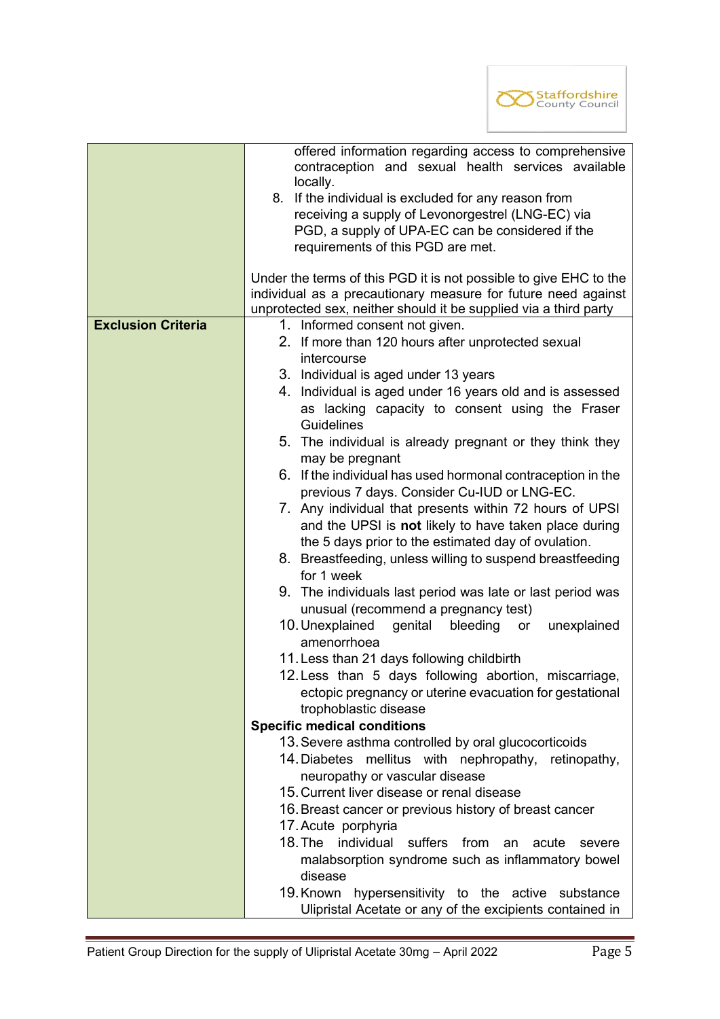

|                           | offered information regarding access to comprehensive                            |  |
|---------------------------|----------------------------------------------------------------------------------|--|
|                           | contraception and sexual health services available                               |  |
|                           | locally.<br>8. If the individual is excluded for any reason from                 |  |
|                           | receiving a supply of Levonorgestrel (LNG-EC) via                                |  |
|                           | PGD, a supply of UPA-EC can be considered if the                                 |  |
|                           | requirements of this PGD are met.                                                |  |
|                           |                                                                                  |  |
|                           | Under the terms of this PGD it is not possible to give EHC to the                |  |
|                           | individual as a precautionary measure for future need against                    |  |
|                           | unprotected sex, neither should it be supplied via a third party                 |  |
| <b>Exclusion Criteria</b> | 1. Informed consent not given.                                                   |  |
|                           | 2. If more than 120 hours after unprotected sexual                               |  |
|                           | <i>intercourse</i>                                                               |  |
|                           | 3. Individual is aged under 13 years                                             |  |
|                           | 4. Individual is aged under 16 years old and is assessed                         |  |
|                           | as lacking capacity to consent using the Fraser                                  |  |
|                           | <b>Guidelines</b>                                                                |  |
|                           | 5. The individual is already pregnant or they think they                         |  |
|                           | may be pregnant                                                                  |  |
|                           | 6. If the individual has used hormonal contraception in the                      |  |
|                           | previous 7 days. Consider Cu-IUD or LNG-EC.                                      |  |
|                           | 7. Any individual that presents within 72 hours of UPSI                          |  |
|                           | and the UPSI is not likely to have taken place during                            |  |
|                           | the 5 days prior to the estimated day of ovulation.                              |  |
|                           | 8. Breastfeeding, unless willing to suspend breastfeeding                        |  |
|                           | for 1 week                                                                       |  |
|                           | 9. The individuals last period was late or last period was                       |  |
|                           | unusual (recommend a pregnancy test)                                             |  |
|                           | 10. Unexplained<br>genital<br>bleeding<br>unexplained<br>or                      |  |
|                           | amenorrhoea                                                                      |  |
|                           | 11. Less than 21 days following childbirth                                       |  |
|                           | 12. Less than 5 days following abortion, miscarriage,                            |  |
|                           | ectopic pregnancy or uterine evacuation for gestational<br>trophoblastic disease |  |
|                           | <b>Specific medical conditions</b>                                               |  |
|                           | 13. Severe asthma controlled by oral glucocorticoids                             |  |
|                           | 14. Diabetes mellitus with nephropathy, retinopathy,                             |  |
|                           | neuropathy or vascular disease                                                   |  |
|                           | 15. Current liver disease or renal disease                                       |  |
|                           | 16. Breast cancer or previous history of breast cancer                           |  |
|                           | 17. Acute porphyria                                                              |  |
|                           | 18. The<br>individual<br>suffers<br>from<br>acute<br>an<br>severe                |  |
|                           | malabsorption syndrome such as inflammatory bowel                                |  |
|                           | disease                                                                          |  |
|                           | 19. Known hypersensitivity to the active substance                               |  |
|                           | Ulipristal Acetate or any of the excipients contained in                         |  |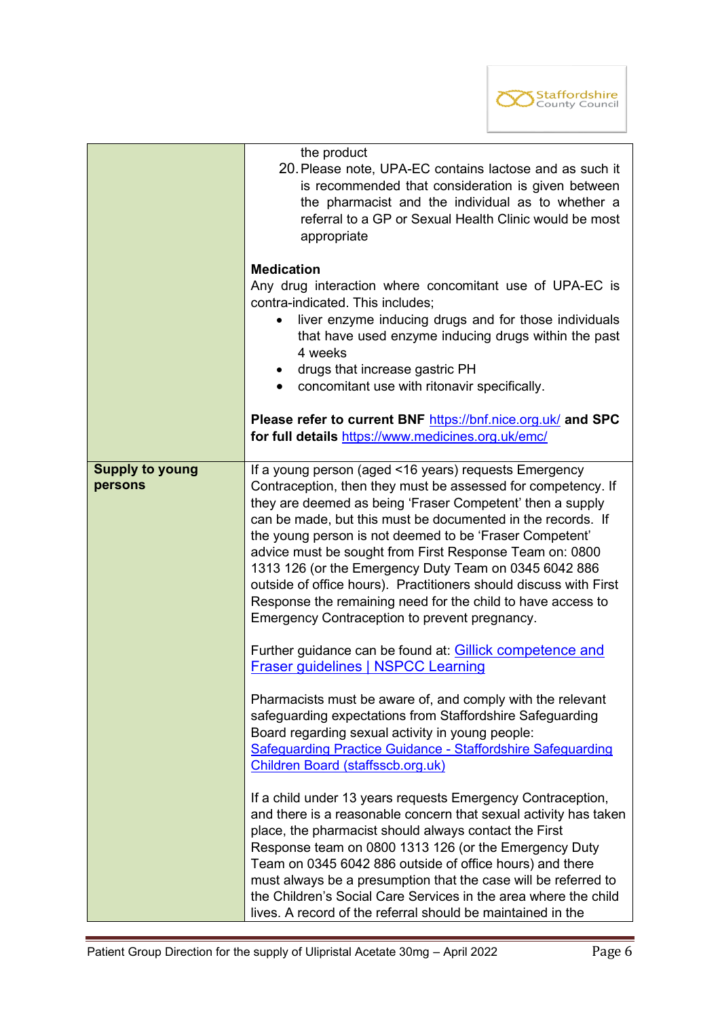

|                                   | the product<br>20. Please note, UPA-EC contains lactose and as such it<br>is recommended that consideration is given between<br>the pharmacist and the individual as to whether a<br>referral to a GP or Sexual Health Clinic would be most<br>appropriate                                                                                                                                                                                                                                                                                                                                                            |
|-----------------------------------|-----------------------------------------------------------------------------------------------------------------------------------------------------------------------------------------------------------------------------------------------------------------------------------------------------------------------------------------------------------------------------------------------------------------------------------------------------------------------------------------------------------------------------------------------------------------------------------------------------------------------|
|                                   | <b>Medication</b><br>Any drug interaction where concomitant use of UPA-EC is<br>contra-indicated. This includes;<br>liver enzyme inducing drugs and for those individuals<br>$\bullet$<br>that have used enzyme inducing drugs within the past<br>4 weeks<br>• drugs that increase gastric PH<br>• concomitant use with ritonavir specifically.                                                                                                                                                                                                                                                                       |
|                                   | Please refer to current BNF https://bnf.nice.org.uk/ and SPC<br>for full details https://www.medicines.org.uk/emc/                                                                                                                                                                                                                                                                                                                                                                                                                                                                                                    |
| <b>Supply to young</b><br>persons | If a young person (aged <16 years) requests Emergency<br>Contraception, then they must be assessed for competency. If<br>they are deemed as being 'Fraser Competent' then a supply<br>can be made, but this must be documented in the records. If<br>the young person is not deemed to be 'Fraser Competent'<br>advice must be sought from First Response Team on: 0800<br>1313 126 (or the Emergency Duty Team on 0345 6042 886<br>outside of office hours). Practitioners should discuss with First<br>Response the remaining need for the child to have access to<br>Emergency Contraception to prevent pregnancy. |
|                                   | Further guidance can be found at: Gillick competence and<br><b>Fraser guidelines   NSPCC Learning</b>                                                                                                                                                                                                                                                                                                                                                                                                                                                                                                                 |
|                                   | Pharmacists must be aware of, and comply with the relevant<br>safeguarding expectations from Staffordshire Safeguarding<br>Board regarding sexual activity in young people:<br>Safeguarding Practice Guidance - Staffordshire Safeguarding<br>Children Board (staffsscb.org.uk)                                                                                                                                                                                                                                                                                                                                       |
|                                   | If a child under 13 years requests Emergency Contraception,<br>and there is a reasonable concern that sexual activity has taken<br>place, the pharmacist should always contact the First<br>Response team on 0800 1313 126 (or the Emergency Duty<br>Team on 0345 6042 886 outside of office hours) and there<br>must always be a presumption that the case will be referred to<br>the Children's Social Care Services in the area where the child<br>lives. A record of the referral should be maintained in the                                                                                                     |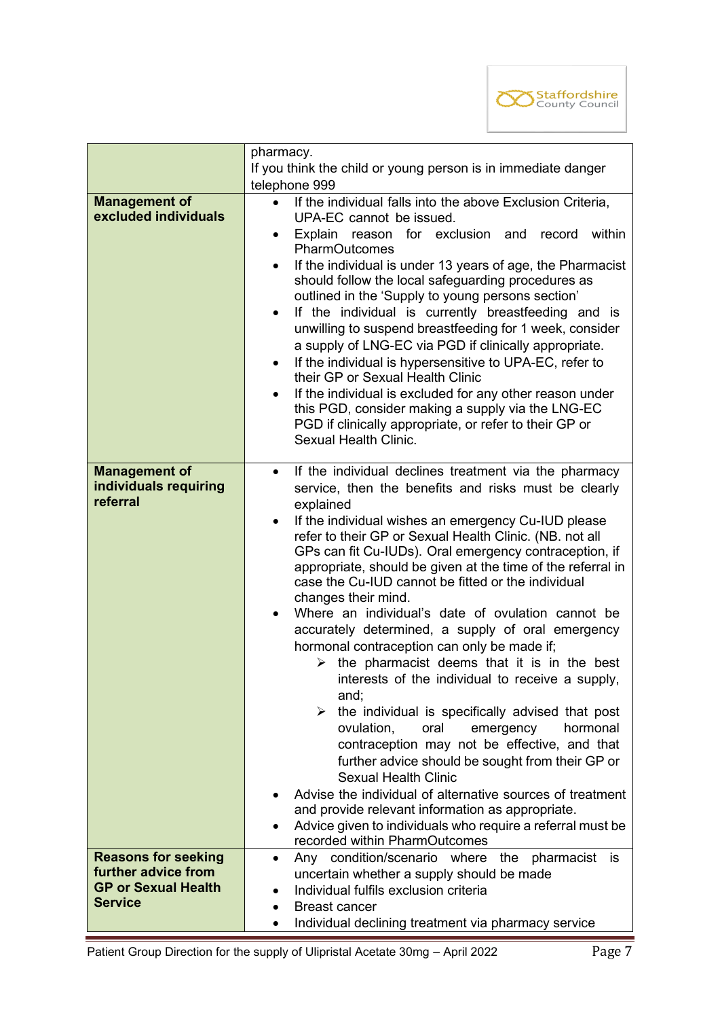

|                                              | pharmacy.                                                                                                         |  |  |
|----------------------------------------------|-------------------------------------------------------------------------------------------------------------------|--|--|
|                                              | If you think the child or young person is in immediate danger                                                     |  |  |
|                                              | telephone 999                                                                                                     |  |  |
| <b>Management of</b><br>excluded individuals | If the individual falls into the above Exclusion Criteria,<br>$\bullet$                                           |  |  |
|                                              | UPA-EC cannot be issued.                                                                                          |  |  |
|                                              | within<br>Explain reason<br>for exclusion and record<br>٠<br><b>PharmOutcomes</b>                                 |  |  |
|                                              | If the individual is under 13 years of age, the Pharmacist<br>$\bullet$                                           |  |  |
|                                              | should follow the local safeguarding procedures as                                                                |  |  |
|                                              | outlined in the 'Supply to young persons section'                                                                 |  |  |
|                                              | If the individual is currently breastfeeding and is<br>٠                                                          |  |  |
|                                              | unwilling to suspend breastfeeding for 1 week, consider                                                           |  |  |
|                                              | a supply of LNG-EC via PGD if clinically appropriate.                                                             |  |  |
|                                              | If the individual is hypersensitive to UPA-EC, refer to<br>$\bullet$<br>their GP or Sexual Health Clinic          |  |  |
|                                              | If the individual is excluded for any other reason under<br>٠                                                     |  |  |
|                                              | this PGD, consider making a supply via the LNG-EC                                                                 |  |  |
|                                              | PGD if clinically appropriate, or refer to their GP or<br>Sexual Health Clinic.                                   |  |  |
|                                              |                                                                                                                   |  |  |
| <b>Management of</b>                         | If the individual declines treatment via the pharmacy<br>$\bullet$                                                |  |  |
| individuals requiring                        | service, then the benefits and risks must be clearly                                                              |  |  |
| referral                                     | explained                                                                                                         |  |  |
|                                              | If the individual wishes an emergency Cu-IUD please<br>$\bullet$                                                  |  |  |
|                                              | refer to their GP or Sexual Health Clinic. (NB. not all<br>GPs can fit Cu-IUDs). Oral emergency contraception, if |  |  |
|                                              | appropriate, should be given at the time of the referral in                                                       |  |  |
|                                              | case the Cu-IUD cannot be fitted or the individual                                                                |  |  |
|                                              | changes their mind.                                                                                               |  |  |
|                                              | Where an individual's date of ovulation cannot be<br>$\bullet$                                                    |  |  |
|                                              | accurately determined, a supply of oral emergency                                                                 |  |  |
|                                              | hormonal contraception can only be made if;                                                                       |  |  |
|                                              | the pharmacist deems that it is in the best<br>➤                                                                  |  |  |
|                                              | interests of the individual to receive a supply,<br>and;                                                          |  |  |
|                                              | the individual is specifically advised that post                                                                  |  |  |
|                                              | ovulation,<br>oral<br>hormonal<br>emergency                                                                       |  |  |
|                                              | contraception may not be effective, and that                                                                      |  |  |
|                                              | further advice should be sought from their GP or                                                                  |  |  |
|                                              | <b>Sexual Health Clinic</b>                                                                                       |  |  |
|                                              | Advise the individual of alternative sources of treatment                                                         |  |  |
|                                              | and provide relevant information as appropriate.<br>Advice given to individuals who require a referral must be    |  |  |
|                                              | recorded within PharmOutcomes                                                                                     |  |  |
| <b>Reasons for seeking</b>                   | Any condition/scenario where the pharmacist<br>is<br>$\bullet$                                                    |  |  |
| further advice from                          | uncertain whether a supply should be made                                                                         |  |  |
| <b>GP or Sexual Health</b>                   | Individual fulfils exclusion criteria<br>$\bullet$                                                                |  |  |
| <b>Service</b>                               | <b>Breast cancer</b><br>$\bullet$                                                                                 |  |  |
|                                              | Individual declining treatment via pharmacy service<br>$\bullet$                                                  |  |  |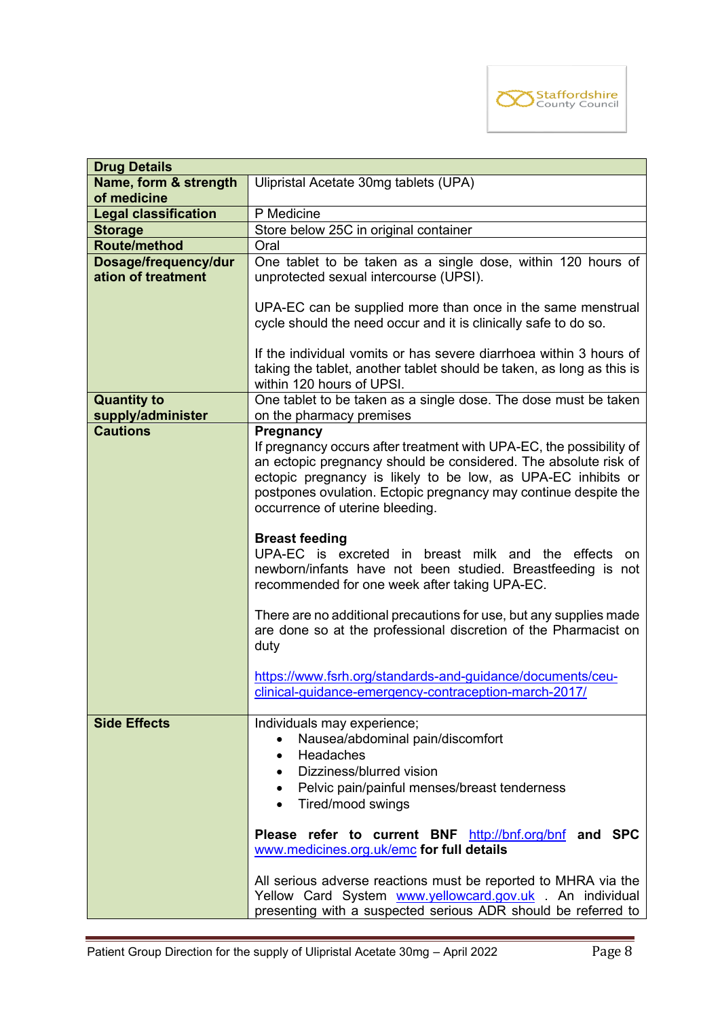

| <b>Drug Details</b>         |                                                                       |  |
|-----------------------------|-----------------------------------------------------------------------|--|
| Name, form & strength       | Ulipristal Acetate 30mg tablets (UPA)                                 |  |
| of medicine                 |                                                                       |  |
| <b>Legal classification</b> | P Medicine                                                            |  |
| <b>Storage</b>              | Store below 25C in original container                                 |  |
| Route/method                | Oral                                                                  |  |
| Dosage/frequency/dur        | One tablet to be taken as a single dose, within 120 hours of          |  |
| ation of treatment          | unprotected sexual intercourse (UPSI).                                |  |
|                             |                                                                       |  |
|                             | UPA-EC can be supplied more than once in the same menstrual           |  |
|                             | cycle should the need occur and it is clinically safe to do so.       |  |
|                             |                                                                       |  |
|                             | If the individual vomits or has severe diarrhoea within 3 hours of    |  |
|                             | taking the tablet, another tablet should be taken, as long as this is |  |
|                             | within 120 hours of UPSI.                                             |  |
| <b>Quantity to</b>          | One tablet to be taken as a single dose. The dose must be taken       |  |
| supply/administer           | on the pharmacy premises                                              |  |
| <b>Cautions</b>             | Pregnancy                                                             |  |
|                             | If pregnancy occurs after treatment with UPA-EC, the possibility of   |  |
|                             | an ectopic pregnancy should be considered. The absolute risk of       |  |
|                             | ectopic pregnancy is likely to be low, as UPA-EC inhibits or          |  |
|                             | postpones ovulation. Ectopic pregnancy may continue despite the       |  |
|                             | occurrence of uterine bleeding.                                       |  |
|                             |                                                                       |  |
|                             | <b>Breast feeding</b>                                                 |  |
|                             | UPA-EC is excreted in breast milk and the effects<br><b>on</b>        |  |
|                             | newborn/infants have not been studied. Breastfeeding is not           |  |
|                             | recommended for one week after taking UPA-EC.                         |  |
|                             |                                                                       |  |
|                             | There are no additional precautions for use, but any supplies made    |  |
|                             | are done so at the professional discretion of the Pharmacist on       |  |
|                             | duty                                                                  |  |
|                             |                                                                       |  |
|                             | https://www.fsrh.org/standards-and-guidance/documents/ceu-            |  |
|                             | clinical-guidance-emergency-contraception-march-2017/                 |  |
|                             |                                                                       |  |
| <b>Side Effects</b>         | Individuals may experience;                                           |  |
|                             | Nausea/abdominal pain/discomfort                                      |  |
|                             | Headaches<br>٠                                                        |  |
|                             | Dizziness/blurred vision<br>$\bullet$                                 |  |
|                             | • Pelvic pain/painful menses/breast tenderness                        |  |
|                             | Tired/mood swings                                                     |  |
|                             |                                                                       |  |
|                             | Please refer to current BNF http://bnf.org/bnf and SPC                |  |
|                             | www.medicines.org.uk/emc for full details                             |  |
|                             |                                                                       |  |
|                             | All serious adverse reactions must be reported to MHRA via the        |  |
|                             | Yellow Card System www.yellowcard.gov.uk . An individual              |  |
|                             | presenting with a suspected serious ADR should be referred to         |  |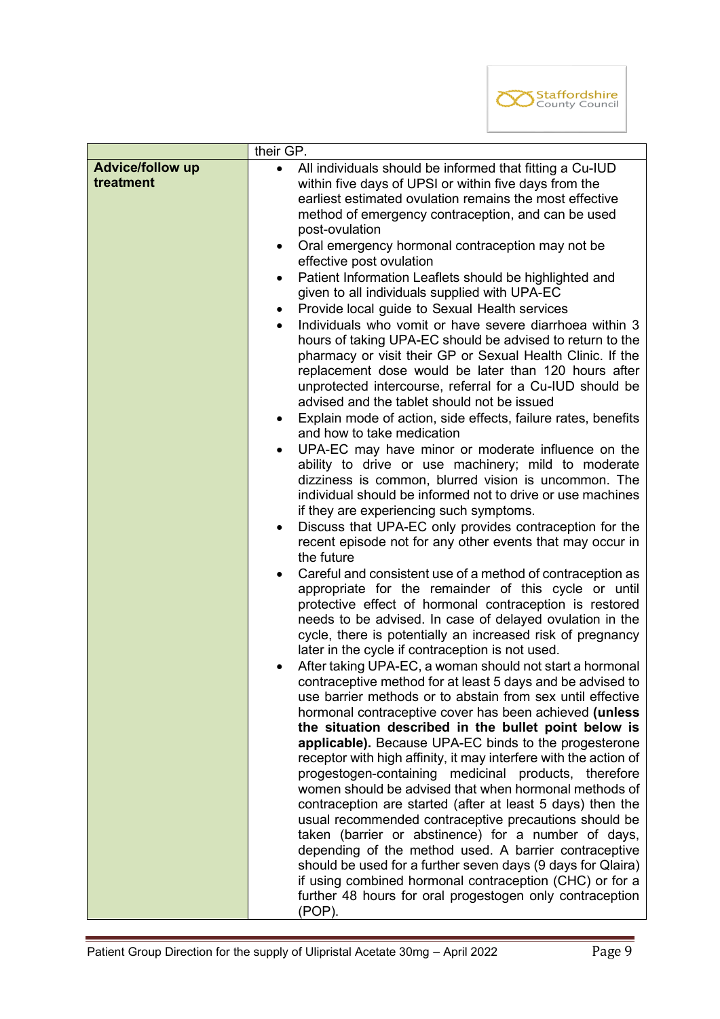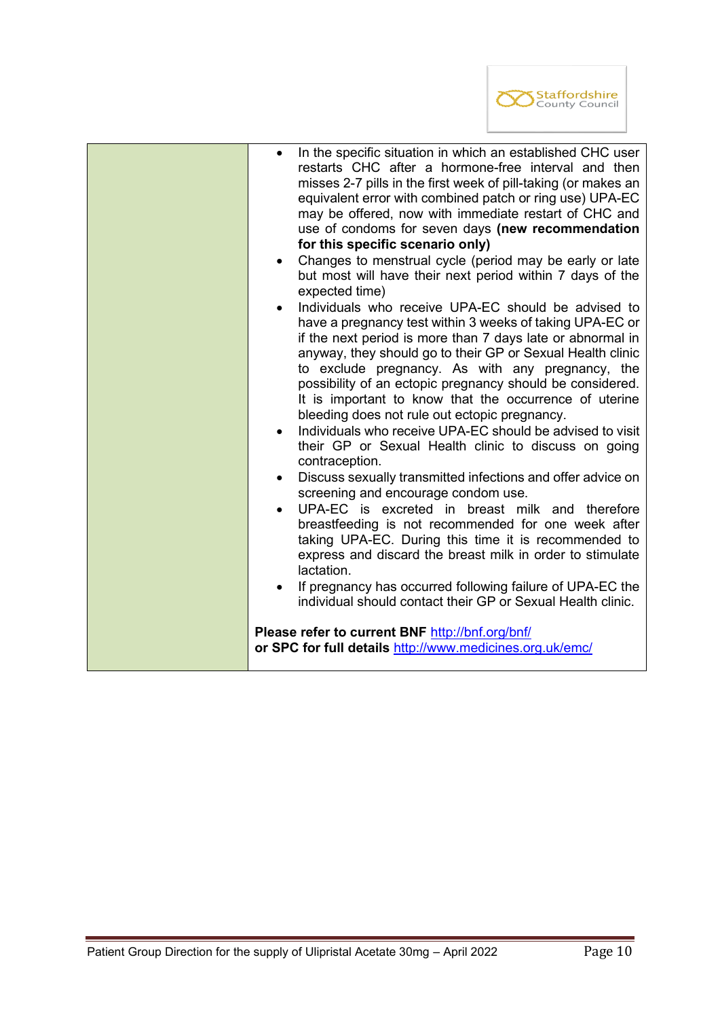

| In the specific situation in which an established CHC user<br>$\bullet$<br>restarts CHC after a hormone-free interval and then<br>misses 2-7 pills in the first week of pill-taking (or makes an<br>equivalent error with combined patch or ring use) UPA-EC<br>may be offered, now with immediate restart of CHC and<br>use of condoms for seven days (new recommendation<br>for this specific scenario only)<br>Changes to menstrual cycle (period may be early or late<br>$\bullet$                                                                                                                                                                                                                  |
|---------------------------------------------------------------------------------------------------------------------------------------------------------------------------------------------------------------------------------------------------------------------------------------------------------------------------------------------------------------------------------------------------------------------------------------------------------------------------------------------------------------------------------------------------------------------------------------------------------------------------------------------------------------------------------------------------------|
| but most will have their next period within 7 days of the<br>expected time)                                                                                                                                                                                                                                                                                                                                                                                                                                                                                                                                                                                                                             |
| Individuals who receive UPA-EC should be advised to<br>have a pregnancy test within 3 weeks of taking UPA-EC or<br>if the next period is more than 7 days late or abnormal in<br>anyway, they should go to their GP or Sexual Health clinic<br>to exclude pregnancy. As with any pregnancy, the<br>possibility of an ectopic pregnancy should be considered.<br>It is important to know that the occurrence of uterine<br>bleeding does not rule out ectopic pregnancy.<br>Individuals who receive UPA-EC should be advised to visit<br>$\bullet$<br>their GP or Sexual Health clinic to discuss on going<br>contraception.<br>Discuss sexually transmitted infections and offer advice on<br>$\bullet$ |
| screening and encourage condom use.<br>UPA-EC is excreted in breast milk and therefore<br>$\bullet$                                                                                                                                                                                                                                                                                                                                                                                                                                                                                                                                                                                                     |
| breastfeeding is not recommended for one week after<br>taking UPA-EC. During this time it is recommended to<br>express and discard the breast milk in order to stimulate<br>lactation.                                                                                                                                                                                                                                                                                                                                                                                                                                                                                                                  |
| If pregnancy has occurred following failure of UPA-EC the<br>individual should contact their GP or Sexual Health clinic.                                                                                                                                                                                                                                                                                                                                                                                                                                                                                                                                                                                |
| Please refer to current BNF http://bnf.org/bnf/<br>or SPC for full details http://www.medicines.org.uk/emc/                                                                                                                                                                                                                                                                                                                                                                                                                                                                                                                                                                                             |

I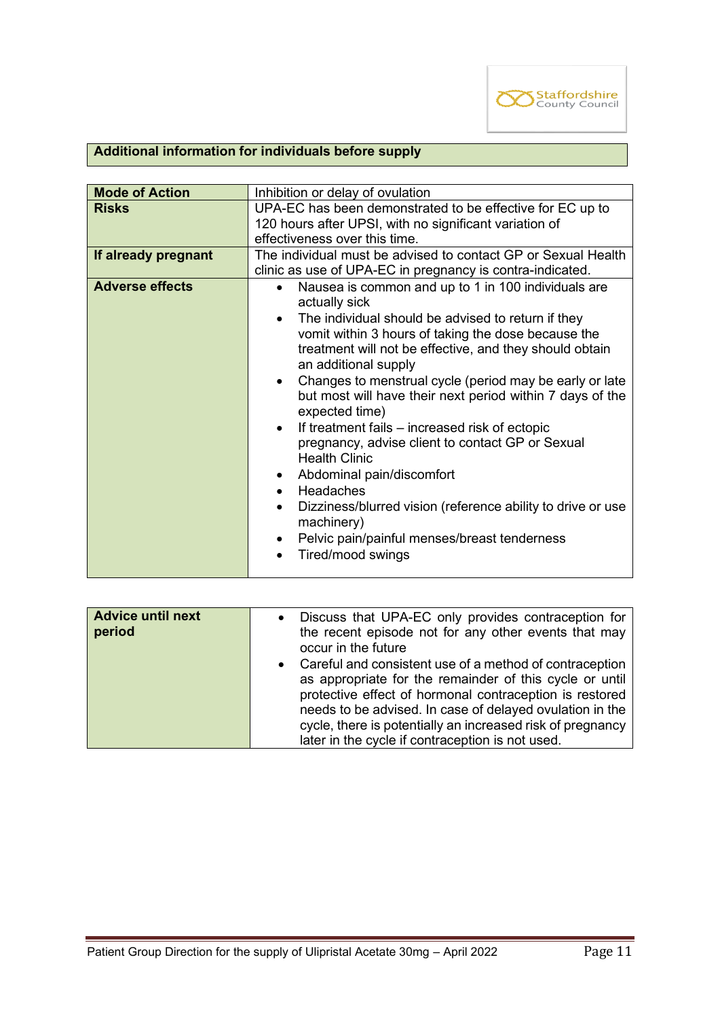

# **Additional information for individuals before supply**

| <b>Mode of Action</b>  | Inhibition or delay of ovulation                                                                                                                                                                                                                                                                                                                                                                                                                                                                                                                                                                                                                                                                                                                                                                                                 |  |
|------------------------|----------------------------------------------------------------------------------------------------------------------------------------------------------------------------------------------------------------------------------------------------------------------------------------------------------------------------------------------------------------------------------------------------------------------------------------------------------------------------------------------------------------------------------------------------------------------------------------------------------------------------------------------------------------------------------------------------------------------------------------------------------------------------------------------------------------------------------|--|
| <b>Risks</b>           | UPA-EC has been demonstrated to be effective for EC up to<br>120 hours after UPSI, with no significant variation of<br>effectiveness over this time.                                                                                                                                                                                                                                                                                                                                                                                                                                                                                                                                                                                                                                                                             |  |
| If already pregnant    | The individual must be advised to contact GP or Sexual Health<br>clinic as use of UPA-EC in pregnancy is contra-indicated.                                                                                                                                                                                                                                                                                                                                                                                                                                                                                                                                                                                                                                                                                                       |  |
| <b>Adverse effects</b> | Nausea is common and up to 1 in 100 individuals are<br>$\bullet$<br>actually sick<br>The individual should be advised to return if they<br>$\bullet$<br>vomit within 3 hours of taking the dose because the<br>treatment will not be effective, and they should obtain<br>an additional supply<br>Changes to menstrual cycle (period may be early or late<br>$\bullet$<br>but most will have their next period within 7 days of the<br>expected time)<br>If treatment fails – increased risk of ectopic<br>$\bullet$<br>pregnancy, advise client to contact GP or Sexual<br><b>Health Clinic</b><br>Abdominal pain/discomfort<br>٠<br>Headaches<br>$\bullet$<br>Dizziness/blurred vision (reference ability to drive or use<br>$\bullet$<br>machinery)<br>Pelvic pain/painful menses/breast tenderness<br>٠<br>Tired/mood swings |  |

| Advice until next<br>period | Discuss that UPA-EC only provides contraception for<br>$\bullet$<br>the recent episode not for any other events that may<br>occur in the future                                                                                                                                                                                                             |
|-----------------------------|-------------------------------------------------------------------------------------------------------------------------------------------------------------------------------------------------------------------------------------------------------------------------------------------------------------------------------------------------------------|
|                             | Careful and consistent use of a method of contraception<br>as appropriate for the remainder of this cycle or until<br>protective effect of hormonal contraception is restored<br>needs to be advised. In case of delayed ovulation in the<br>cycle, there is potentially an increased risk of pregnancy<br>later in the cycle if contraception is not used. |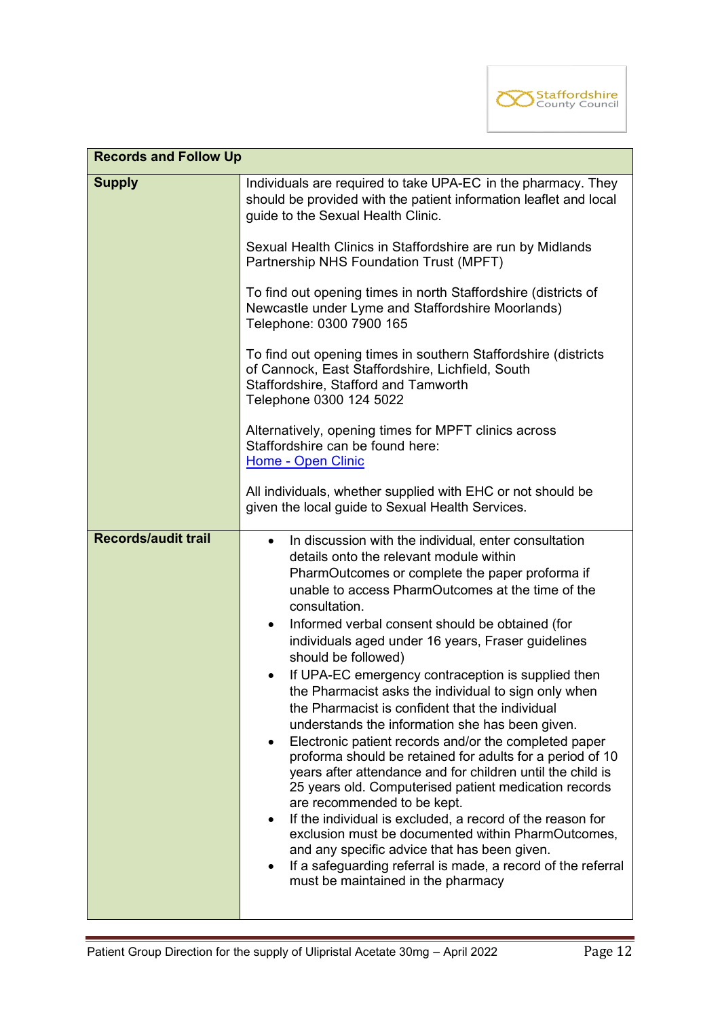

| <b>Records and Follow Up</b> |                                                                                                                                                                                                                                                                                                                                                                                                                                                                                                                                                                                                                                                                                                                                                                                                                                                                                                                                                                                                                                                                                                                                                                           |  |  |  |  |
|------------------------------|---------------------------------------------------------------------------------------------------------------------------------------------------------------------------------------------------------------------------------------------------------------------------------------------------------------------------------------------------------------------------------------------------------------------------------------------------------------------------------------------------------------------------------------------------------------------------------------------------------------------------------------------------------------------------------------------------------------------------------------------------------------------------------------------------------------------------------------------------------------------------------------------------------------------------------------------------------------------------------------------------------------------------------------------------------------------------------------------------------------------------------------------------------------------------|--|--|--|--|
| <b>Supply</b>                | Individuals are required to take UPA-EC in the pharmacy. They<br>should be provided with the patient information leaflet and local<br>guide to the Sexual Health Clinic.                                                                                                                                                                                                                                                                                                                                                                                                                                                                                                                                                                                                                                                                                                                                                                                                                                                                                                                                                                                                  |  |  |  |  |
|                              | Sexual Health Clinics in Staffordshire are run by Midlands<br>Partnership NHS Foundation Trust (MPFT)<br>To find out opening times in north Staffordshire (districts of<br>Newcastle under Lyme and Staffordshire Moorlands)<br>Telephone: 0300 7900 165<br>To find out opening times in southern Staffordshire (districts<br>of Cannock, East Staffordshire, Lichfield, South<br>Staffordshire, Stafford and Tamworth<br>Telephone 0300 124 5022<br>Alternatively, opening times for MPFT clinics across<br>Staffordshire can be found here:<br>Home - Open Clinic                                                                                                                                                                                                                                                                                                                                                                                                                                                                                                                                                                                                       |  |  |  |  |
|                              |                                                                                                                                                                                                                                                                                                                                                                                                                                                                                                                                                                                                                                                                                                                                                                                                                                                                                                                                                                                                                                                                                                                                                                           |  |  |  |  |
|                              |                                                                                                                                                                                                                                                                                                                                                                                                                                                                                                                                                                                                                                                                                                                                                                                                                                                                                                                                                                                                                                                                                                                                                                           |  |  |  |  |
|                              |                                                                                                                                                                                                                                                                                                                                                                                                                                                                                                                                                                                                                                                                                                                                                                                                                                                                                                                                                                                                                                                                                                                                                                           |  |  |  |  |
|                              | All individuals, whether supplied with EHC or not should be<br>given the local guide to Sexual Health Services.                                                                                                                                                                                                                                                                                                                                                                                                                                                                                                                                                                                                                                                                                                                                                                                                                                                                                                                                                                                                                                                           |  |  |  |  |
| <b>Records/audit trail</b>   | In discussion with the individual, enter consultation<br>$\bullet$<br>details onto the relevant module within<br>PharmOutcomes or complete the paper proforma if<br>unable to access PharmOutcomes at the time of the<br>consultation.<br>Informed verbal consent should be obtained (for<br>$\bullet$<br>individuals aged under 16 years, Fraser guidelines<br>should be followed)<br>If UPA-EC emergency contraception is supplied then<br>the Pharmacist asks the individual to sign only when<br>the Pharmacist is confident that the individual<br>understands the information she has been given.<br>Electronic patient records and/or the completed paper<br>proforma should be retained for adults for a period of 10<br>years after attendance and for children until the child is<br>25 years old. Computerised patient medication records<br>are recommended to be kept.<br>If the individual is excluded, a record of the reason for<br>$\bullet$<br>exclusion must be documented within PharmOutcomes,<br>and any specific advice that has been given.<br>If a safeguarding referral is made, a record of the referral<br>must be maintained in the pharmacy |  |  |  |  |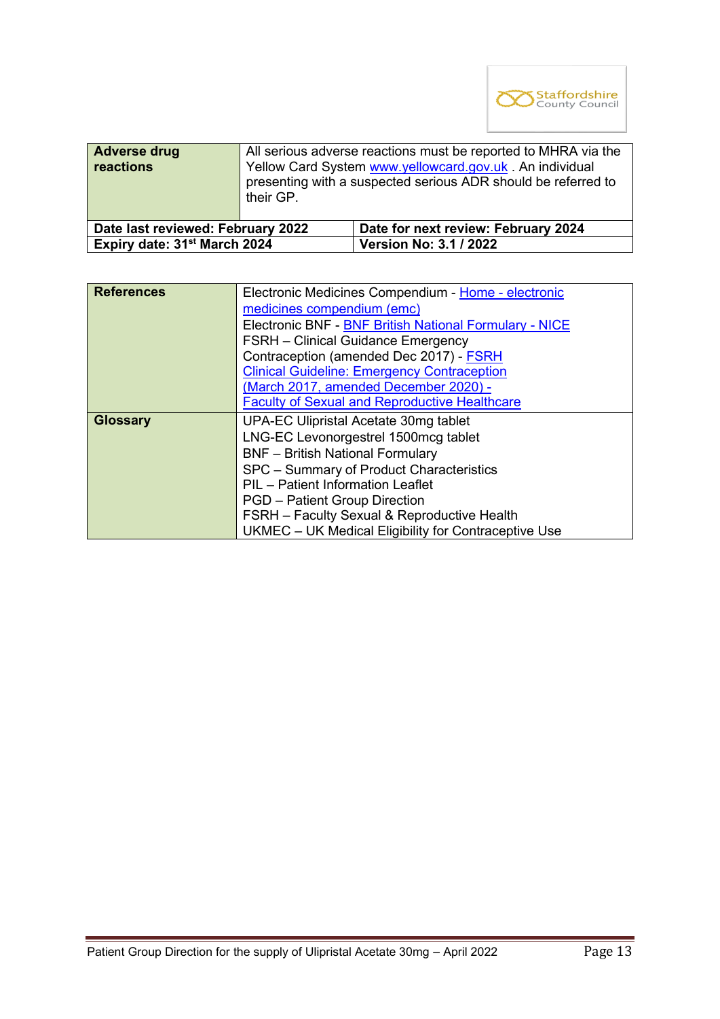

| <b>Adverse drug</b><br><b>reactions</b>  | All serious adverse reactions must be reported to MHRA via the<br>Yellow Card System www.yellowcard.gov.uk. An individual<br>presenting with a suspected serious ADR should be referred to<br>their GP. |                                     |  |
|------------------------------------------|---------------------------------------------------------------------------------------------------------------------------------------------------------------------------------------------------------|-------------------------------------|--|
| Date last reviewed: February 2022        |                                                                                                                                                                                                         | Date for next review: February 2024 |  |
| Expiry date: 31 <sup>st</sup> March 2024 |                                                                                                                                                                                                         | <b>Version No: 3.1 / 2022</b>       |  |
|                                          |                                                                                                                                                                                                         |                                     |  |

| <b>References</b> | Electronic Medicines Compendium - Home - electronic    |  |  |  |
|-------------------|--------------------------------------------------------|--|--|--|
|                   | medicines compendium (emc)                             |  |  |  |
|                   | Electronic BNF - BNF British National Formulary - NICE |  |  |  |
|                   | <b>FSRH</b> – Clinical Guidance Emergency              |  |  |  |
|                   | Contraception (amended Dec 2017) - <b>FSRH</b>         |  |  |  |
|                   | <b>Clinical Guideline: Emergency Contraception</b>     |  |  |  |
|                   | (March 2017, amended December 2020) -                  |  |  |  |
|                   | <b>Faculty of Sexual and Reproductive Healthcare</b>   |  |  |  |
| <b>Glossary</b>   | UPA-EC Ulipristal Acetate 30mg tablet                  |  |  |  |
|                   | LNG-EC Levonorgestrel 1500mcg tablet                   |  |  |  |
|                   | <b>BNF</b> - British National Formulary                |  |  |  |
|                   | SPC - Summary of Product Characteristics               |  |  |  |
|                   | PIL - Patient Information Leaflet                      |  |  |  |
|                   | <b>PGD</b> - Patient Group Direction                   |  |  |  |
|                   | <b>FSRH</b> – Faculty Sexual & Reproductive Health     |  |  |  |
|                   | UKMEC - UK Medical Eligibility for Contraceptive Use   |  |  |  |